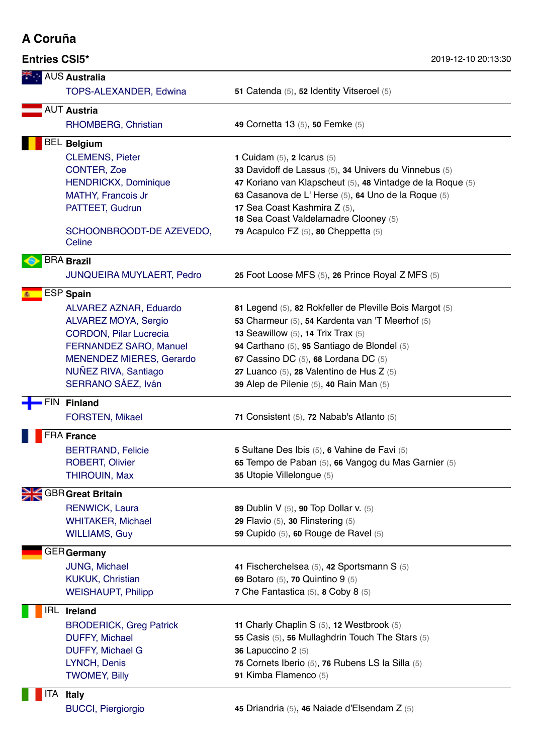## **A Coruña**

|      | <b>AUS Australia</b>                                    |                                                                                                     |  |  |  |  |
|------|---------------------------------------------------------|-----------------------------------------------------------------------------------------------------|--|--|--|--|
|      | TOPS-ALEXANDER, Edwina                                  | 51 Catenda (5), 52 Identity Vitseroel (5)                                                           |  |  |  |  |
|      | <b>AUT Austria</b>                                      |                                                                                                     |  |  |  |  |
|      | RHOMBERG, Christian                                     | 49 Cornetta 13 (5), 50 Femke (5)                                                                    |  |  |  |  |
|      | <b>BEL Belgium</b>                                      |                                                                                                     |  |  |  |  |
|      | <b>CLEMENS, Pieter</b>                                  | 1 Cuidam $(5)$ , 2 Icarus $(5)$                                                                     |  |  |  |  |
|      | <b>CONTER, Zoe</b>                                      | 33 Davidoff de Lassus (5), 34 Univers du Vinnebus (5)                                               |  |  |  |  |
|      | <b>HENDRICKX, Dominique</b>                             | 47 Koriano van Klapscheut (5), 48 Vintadge de la Roque (5)                                          |  |  |  |  |
|      | <b>MATHY, Francois Jr</b>                               | 63 Casanova de L'Herse (5), 64 Uno de la Roque (5)                                                  |  |  |  |  |
|      | PATTEET, Gudrun                                         | 17 Sea Coast Kashmira Z (5),<br>18 Sea Coast Valdelamadre Clooney (5)                               |  |  |  |  |
|      | SCHOONBROODT-DE AZEVEDO,<br>Celine                      | 79 Acapulco FZ (5), 80 Cheppetta (5)                                                                |  |  |  |  |
|      | <b>BRA Brazil</b>                                       |                                                                                                     |  |  |  |  |
|      | <b>JUNQUEIRA MUYLAERT, Pedro</b>                        | 25 Foot Loose MFS (5), 26 Prince Royal Z MFS (5)                                                    |  |  |  |  |
|      | ESP Spain                                               |                                                                                                     |  |  |  |  |
|      | ALVAREZ AZNAR, Eduardo                                  | 81 Legend (5), 82 Rokfeller de Pleville Bois Margot (5)                                             |  |  |  |  |
|      | ALVAREZ MOYA, Sergio                                    | 53 Charmeur (5), 54 Kardenta van 'T Meerhof (5)                                                     |  |  |  |  |
|      | <b>CORDON, Pilar Lucrecia</b>                           | 13 Seawillow $(5)$ , 14 Trix Trax $(5)$                                                             |  |  |  |  |
|      | FERNANDEZ SARO, Manuel                                  | 94 Carthano (5), 95 Santiago de Blondel (5)                                                         |  |  |  |  |
|      | <b>MENENDEZ MIERES, Gerardo</b><br>NUÑEZ RIVA, Santiago | 67 Cassino DC (5), 68 Lordana DC (5)                                                                |  |  |  |  |
|      | SERRANO SÁEZ, Iván                                      | 27 Luanco (5), 28 Valentino de Hus Z (5)<br>39 Alep de Pilenie (5), 40 Rain Man (5)                 |  |  |  |  |
| -IN. | <b>Finland</b>                                          |                                                                                                     |  |  |  |  |
|      | <b>FORSTEN, Mikael</b>                                  | 71 Consistent (5), 72 Nabab's Atlanto (5)                                                           |  |  |  |  |
|      |                                                         |                                                                                                     |  |  |  |  |
|      | FRA France                                              |                                                                                                     |  |  |  |  |
|      | <b>BERTRAND, Felicie</b><br><b>ROBERT, Olivier</b>      | 5 Sultane Des Ibis (5), 6 Vahine de Favi (5)<br>65 Tempo de Paban (5), 66 Vangog du Mas Garnier (5) |  |  |  |  |
|      | <b>THIROUIN, Max</b>                                    | 35 Utopie Villelongue (5)                                                                           |  |  |  |  |
|      | <b>GBR</b> Great Britain                                |                                                                                                     |  |  |  |  |
|      | <b>RENWICK, Laura</b>                                   | 89 Dublin V (5), 90 Top Dollar v. (5)                                                               |  |  |  |  |
|      | <b>WHITAKER, Michael</b>                                | 29 Flavio (5), 30 Flinstering (5)                                                                   |  |  |  |  |
|      | <b>WILLIAMS, Guy</b>                                    | 59 Cupido (5), 60 Rouge de Ravel (5)                                                                |  |  |  |  |
|      | GER <b>Germany</b>                                      |                                                                                                     |  |  |  |  |
|      | JUNG, Michael                                           | 41 Fischerchelsea (5), 42 Sportsmann S (5)                                                          |  |  |  |  |
|      | <b>KUKUK, Christian</b>                                 | 69 Botaro (5), 70 Quintino 9 (5)                                                                    |  |  |  |  |
|      | <b>WEISHAUPT, Philipp</b>                               | 7 Che Fantastica (5), 8 Coby 8 (5)                                                                  |  |  |  |  |
| IRL  | <b>Ireland</b>                                          |                                                                                                     |  |  |  |  |
|      | <b>BRODERICK, Greg Patrick</b>                          | 11 Charly Chaplin S (5), 12 Westbrook (5)                                                           |  |  |  |  |
|      | <b>DUFFY, Michael</b>                                   | 55 Casis (5), 56 Mullaghdrin Touch The Stars (5)                                                    |  |  |  |  |
|      | <b>DUFFY, Michael G</b>                                 | 36 Lapuccino 2 (5)                                                                                  |  |  |  |  |
|      | LYNCH, Denis                                            | 75 Cornets Iberio (5), 76 Rubens LS la Silla (5)                                                    |  |  |  |  |
|      | <b>TWOMEY, Billy</b>                                    | 91 Kimba Flamenco (5)                                                                               |  |  |  |  |
| ΤA   | <b>Italy</b>                                            |                                                                                                     |  |  |  |  |